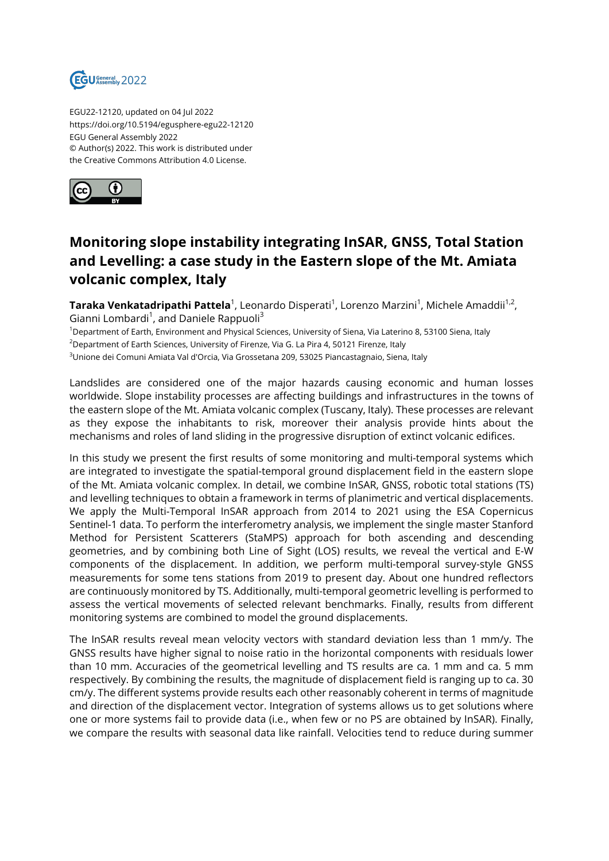

EGU22-12120, updated on 04 Jul 2022 https://doi.org/10.5194/egusphere-egu22-12120 EGU General Assembly 2022 © Author(s) 2022. This work is distributed under the Creative Commons Attribution 4.0 License.



## **Monitoring slope instability integrating InSAR, GNSS, Total Station and Levelling: a case study in the Eastern slope of the Mt. Amiata volcanic complex, Italy**

**Taraka Venkatadripathi Pattela** $^1$ **,** Leonardo Disperati $^1$ , Lorenzo Marzini $^1$ , Michele Amaddii $^{1,2}$ , Gianni Lombardi<sup>1</sup>, and Daniele Rappuoli<sup>3</sup>

<sup>1</sup>Department of Earth, Environment and Physical Sciences, University of Siena, Via Laterino 8, 53100 Siena, Italy

<sup>2</sup>Department of Earth Sciences, University of Firenze, Via G. La Pira 4, 50121 Firenze, Italy

<sup>3</sup>Unione dei Comuni Amiata Val d'Orcia, Via Grossetana 209, 53025 Piancastagnaio, Siena, Italy

Landslides are considered one of the major hazards causing economic and human losses worldwide. Slope instability processes are affecting buildings and infrastructures in the towns of the eastern slope of the Mt. Amiata volcanic complex (Tuscany, Italy). These processes are relevant as they expose the inhabitants to risk, moreover their analysis provide hints about the mechanisms and roles of land sliding in the progressive disruption of extinct volcanic edifices.

In this study we present the first results of some monitoring and multi-temporal systems which are integrated to investigate the spatial-temporal ground displacement field in the eastern slope of the Mt. Amiata volcanic complex. In detail, we combine InSAR, GNSS, robotic total stations (TS) and levelling techniques to obtain a framework in terms of planimetric and vertical displacements. We apply the Multi-Temporal InSAR approach from 2014 to 2021 using the ESA Copernicus Sentinel-1 data. To perform the interferometry analysis, we implement the single master Stanford Method for Persistent Scatterers (StaMPS) approach for both ascending and descending geometries, and by combining both Line of Sight (LOS) results, we reveal the vertical and E-W components of the displacement. In addition, we perform multi-temporal survey-style GNSS measurements for some tens stations from 2019 to present day. About one hundred reflectors are continuously monitored by TS. Additionally, multi-temporal geometric levelling is performed to assess the vertical movements of selected relevant benchmarks. Finally, results from different monitoring systems are combined to model the ground displacements.

The InSAR results reveal mean velocity vectors with standard deviation less than 1 mm/y. The GNSS results have higher signal to noise ratio in the horizontal components with residuals lower than 10 mm. Accuracies of the geometrical levelling and TS results are ca. 1 mm and ca. 5 mm respectively. By combining the results, the magnitude of displacement field is ranging up to ca. 30 cm/y. The different systems provide results each other reasonably coherent in terms of magnitude and direction of the displacement vector. Integration of systems allows us to get solutions where one or more systems fail to provide data (i.e., when few or no PS are obtained by InSAR). Finally, we compare the results with seasonal data like rainfall. Velocities tend to reduce during summer